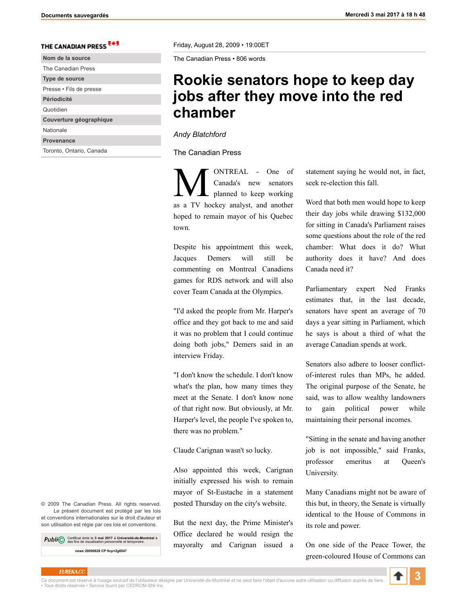## THE CANADIAN PRESS

| Nom de la source         |
|--------------------------|
| The Canadian Press       |
| Type de source           |
| Presse • Fils de presse  |
| Périodicité              |
| Quotidien                |
| Couverture géographique  |
| Nationale                |
| Provenance               |
| Toronto, Ontario, Canada |
|                          |

Friday, August 28, 2009 • 19:00ET

The Canadian Press • 806 words

## **Rookie senators hope to keep day jobs after they move into the red chamber**

*Andy Blatchford*

The Canadian Press

**MUNTREAL** - One of<br>Canada's new senators<br>planned to keep working Canada's new senators planned to keep working as a TV hockey analyst, and another hoped to remain mayor of his Quebec town.

Despite his appointment this week, Jacques Demers will still be commenting on Montreal Canadiens games for RDS network and will also cover Team Canada at the Olympics.

"I'd asked the people from Mr. Harper's office and they got back to me and said it was no problem that I could continue doing both jobs," Demers said in an interview Friday.

"I don't know the schedule. I don't know what's the plan, how many times they meet at the Senate. I don't know none of that right now. But obviously, at Mr. Harper's level, the people I've spoken to, there was no problem."

Claude Carignan wasn't so lucky.

Also appointed this week, Carignan initially expressed his wish to remain mayor of St-Eustache in a statement posted Thursday on the city's website.

But the next day, the Prime Minister's Office declared he would resign the mayoralty and Carignan issued a statement saying he would not, in fact, seek re-election this fall.

Word that both men would hope to keep their day jobs while drawing \$132,000 for sitting in Canada's Parliament raises some questions about the role of the red chamber: What does it do? What authority does it have? And does Canada need it?

Parliamentary expert Ned Franks estimates that, in the last decade, senators have spent an average of 70 days a year sitting in Parliament, which he says is about a third of what the average Canadian spends at work.

Senators also adhere to looser conflictof-interest rules than MPs, he added. The original purpose of the Senate, he said, was to allow wealthy landowners to gain political power while maintaining their personal incomes.

"Sitting in the senate and having another job is not impossible," said Franks, professor emeritus at Queen's University.

Many Canadians might not be aware of this but, in theory, the Senate is virtually identical to the House of Commons in its role and power.

On one side of the Peace Tower, the green-coloured House of Commons can

© 2009 The Canadian Press. All rights reserved. Le présent document est protégé par les lois et conventions internationales sur le droit d'auteur et son utilisation est régie par ces lois et conventions.

Certificat émis le **3 mai 2017** à **Université-de-Montréal** à des fins de visualisation personnelle et temporaire. **news·20090828·CP·0cp×2g6547**

EUREKA.CC<br>Ce document est réservé à l'usage exclusif de l'utilisateur désigné par Université-de-Montréal et ne peut faire l'objet d'aucune autre utilisation ou diffusion auprès de tier • Tous droits réservés • Service fourni par CEDROM-SNi Inc.